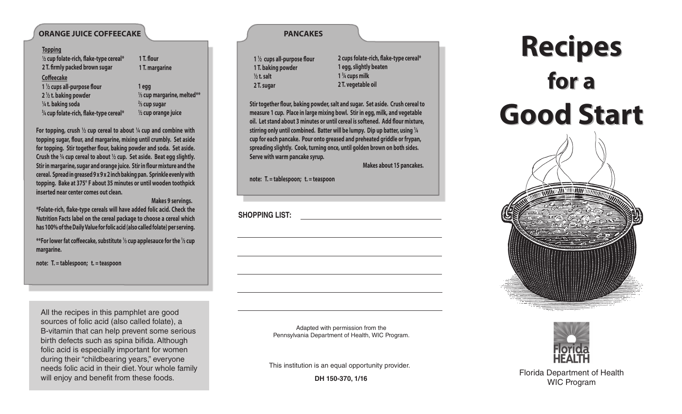## **ORANGE JUICE COFFEECAKE**

| <u>Topping</u>                          |                                       |
|-----------------------------------------|---------------------------------------|
| 1/2 cup folate-rich, flake-type cereal* | 1 T. flour                            |
| 2 T. firmly packed brown sugar          | 1 T. margarine                        |
| <b>Coffeecake</b>                       |                                       |
| 1 $\frac{1}{2}$ cups all-purpose flour  | 1 egg                                 |
| $2\frac{1}{2}$ t. baking powder         | $\frac{1}{3}$ cup margarine, melted** |
| 1/4 t. baking soda                      | $\frac{2}{3}$ cup sugar               |
| 3/4 cup folate-rich, flake-type cereal* | $\frac{1}{2}$ cup orange juice        |
|                                         |                                       |

**For topping, crush <sup>1</sup> ⁄2 cup cereal to about <sup>1</sup> ⁄4 cup and combine with topping sugar, flour, and margarine, mixing until crumbly. Set aside for topping. Stir together flour, baking powder and soda. Set aside. Crush the <sup>3</sup> ⁄4 cup cereal to about <sup>1</sup> ⁄2 cup. Set aside. Beat egg slightly. Stir in margarine, sugar and orange juice. Stir in flour mixture and the cereal. Spread in greased 9 x 9 x 2 inch baking pan. Sprinkle evenly with topping. Bake at 375° F about 35 minutes or until wooden toothpick inserted near center comes out clean.**

 **Makes 9 servings.**

**\*Folate-rich, flake-type cereals will have added folic acid. Check the Nutrition Facts label on the cereal package to choose a cereal which has 100% of the Daily Value for folic acid (also called folate) per serving.**

**\*\*For lower fat coffeecake, substitute 1 ⁄3 cup applesauce for the 1 ⁄3 cup margarine.**

**note: T. = tablespoon; t. = teaspoon**

All the recipes in this pamphlet are good sources of folic acid (also called folate), a B-vitamin that can help prevent some serious birth defects such as spina bifida. Although folic acid is especially important for women during their "childbearing years," everyone needs folic acid in their diet. Your whole family will enjoy and benefit from these foods.

|                       | $1\frac{1}{2}$ cups all-purpose flour |
|-----------------------|---------------------------------------|
| 1 T. baking powder    |                                       |
| $\frac{1}{2}$ t. salt |                                       |
| 2 T. sugar            |                                       |

**2 cups folate-rich, flake-type cereal\* 1 egg, slightly beaten 1 3 ⁄4 cups milk 2 T. vegetable oil**

**Stir together flour, baking powder, salt and sugar. Set aside. Crush cereal to measure 1 cup. Place in large mixing bowl. Stir in egg, milk, and vegetable oil. Let stand about 3 minutes or until cereal is softened. Add flour mixture, stirring only until combined. Batter will be lumpy. Dip up batter, using <sup>1</sup> ⁄4 cup for each pancake. Pour onto greased and preheated griddle or frypan, spreading slightly. Cook, turning once, until golden brown on both sides. Serve with warm pancake syrup.**

 **Makes about 15 pancakes.**

**note: T. = tablespoon; t. = teaspoon**

**SHOPPING LIST:** 

Adapted with permission from the Pennsylvania Department of Health, WIC Program.

This institution is an equal opportunity provider.

**DH 150-370, 1/16**

# **Recipes for a Good Start Good Start Recipes for a**



Florida Department of Health WIC Program